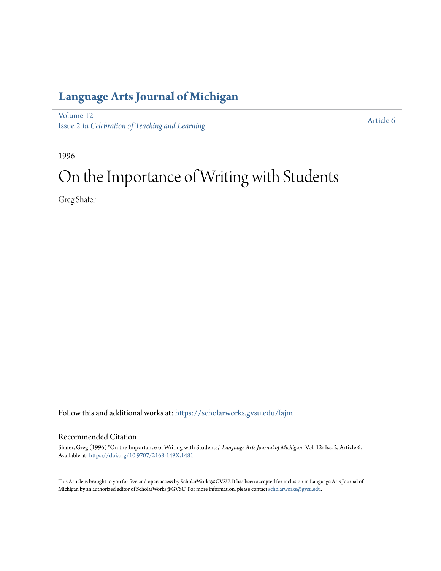### **[Language Arts Journal of Michigan](https://scholarworks.gvsu.edu/lajm?utm_source=scholarworks.gvsu.edu%2Flajm%2Fvol12%2Fiss2%2F6&utm_medium=PDF&utm_campaign=PDFCoverPages)**

[Volume 12](https://scholarworks.gvsu.edu/lajm/vol12?utm_source=scholarworks.gvsu.edu%2Flajm%2Fvol12%2Fiss2%2F6&utm_medium=PDF&utm_campaign=PDFCoverPages) Issue 2 *[In Celebration of Teaching and Learning](https://scholarworks.gvsu.edu/lajm/vol12/iss2?utm_source=scholarworks.gvsu.edu%2Flajm%2Fvol12%2Fiss2%2F6&utm_medium=PDF&utm_campaign=PDFCoverPages)*

[Article 6](https://scholarworks.gvsu.edu/lajm/vol12/iss2/6?utm_source=scholarworks.gvsu.edu%2Flajm%2Fvol12%2Fiss2%2F6&utm_medium=PDF&utm_campaign=PDFCoverPages)

1996

# On the Importance of Writing with Students

Greg Shafer

Follow this and additional works at: [https://scholarworks.gvsu.edu/lajm](https://scholarworks.gvsu.edu/lajm?utm_source=scholarworks.gvsu.edu%2Flajm%2Fvol12%2Fiss2%2F6&utm_medium=PDF&utm_campaign=PDFCoverPages)

#### Recommended Citation

Shafer, Greg (1996) "On the Importance of Writing with Students," *Language Arts Journal of Michigan*: Vol. 12: Iss. 2, Article 6. Available at: <https://doi.org/10.9707/2168-149X.1481>

This Article is brought to you for free and open access by ScholarWorks@GVSU. It has been accepted for inclusion in Language Arts Journal of Michigan by an authorized editor of ScholarWorks@GVSU. For more information, please contact [scholarworks@gvsu.edu.](mailto:scholarworks@gvsu.edu)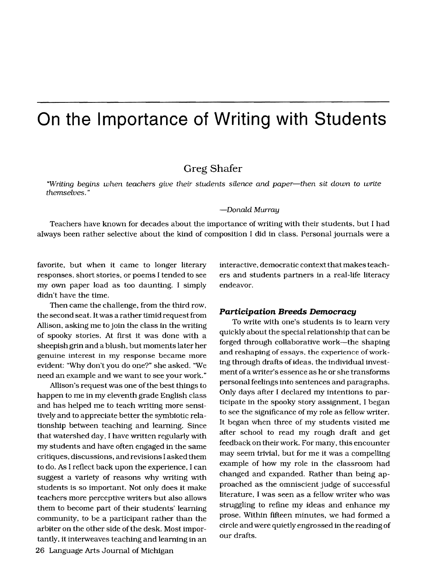## **On the Importance of Writing with Students**

### Greg Shafer

"Writing begins when teachers give their students silence and paper-then sit down to write themselves. "

#### -Donald Murray

Teachers have known for decades about the importance of writing with their students, but I had always been rather selective about the kind of composition I did in class. Personal journals were a

favorite, but when it came to longer literary responses, short stories, or poems I tended to see my own paper load as too daunting. I simply didn't have the time.

Then came the challenge, from the third row, the second seat. It was a rather timid request from Allison, asking me to join the class in the writing of spooky stories. At first it was done with a sheepish grin and a blush. but moments later her genuine interest in my response became more evident: "Why don't you do one?" she asked. "We need an example and we want to see your work."

Allison's request was one of the best things to happen to me in my eleventh grade English class and has helped me to teach writing more sensitively and to appreciate better the symbiotic relationship between teaching and learning. Since that watershed day. I have written regularly with my students and have often engaged in the same critiques, discussions, and revisions Iasked them to do. As I reflect back upon the experience, I can suggest a variety of reasons why writing with students is so important. Not only does it make teachers more perceptive writers but also allows them to become part of their students' learning community, to be a participant rather than the arbiter on the other side of the desk. Most importantly. it interweaves teaching and learning in an 26 Language Arts Journal of Michigan

interactive, democratic context that makes teachers and students partners in a real-life literacy endeavor.

#### *Participation Breeds Democracy*

To write with one's students is to learn very quickly about the special relationship that can be forged through collaborative work-the shaping and reshaping of essays. the experience ofworking through drafts of ideas, the individual investment ofa writer's essence as he or she transforms personal feelings into sentences and paragraphs. Only days after I declared my intentions to participate in the spooky story assignment. I began to see the significance of my role as fellow writer. It began when three of my students visited me after school to read my rough draft and get feedback on their work. For many. this encounter may seem trivial, but for me it was a compelling example of how my role in the classroom had changed and expanded. Rather than being approached as the omniscient judge of successful literature, I was seen as a fellow writer who was struggling to refine my ideas and enhance my prose. Within fifteen minutes, we had formed a circle and were quietly engrossed in the reading of our drafts.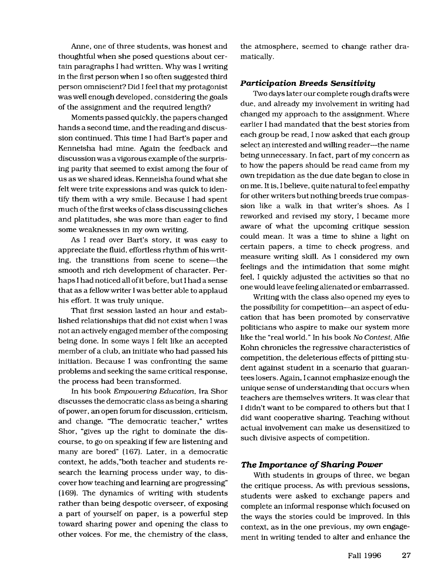Anne, one of three students. was honest and thoughtful when she posed questions about certain paragraphs I had written. Why was I writing in the first person when Iso often suggested third person omniscient? Did I feel that my protagonist was well enough developed, considering the goals of the assignment and the required length?

Moments passed quickly, the papers changed hands a second time, and the reading and discussion continued. This time I had Bart's paper and Kenneisha had mine. Again the feedback and discussion was a vigorous example ofthe surprising parity that seemed to exist among the four of us as we shared ideas. Kenneisha found what she felt were trite expressions and was quick to identify them with a wry smile. Because I had spent much of the first weeks of class discussing cliches and platitudes, she was more than eager to find some weaknesses in my own writing.

As I read over Bart's story, it was easy to appreciate the fluid, effortless rhythm of his writing, the transitions from scene to scene-the smooth and rich development of character. Perhaps I had noticed all of it before, but I had a sense that as a fellow writer Iwas better able to applaud his effort. It was truly unique.

That first session lasted an hour and established relationships that did not exist when Iwas not an actively engaged member of the composing being done. In some ways I felt like an accepted member of a club, an initiate who had passed his initiation. Because I was confronting the same problems and seeking the same critical response. the process had been transformed.

**In** his book Empowering Education. Ira Shor discusses the democratic class as being a sharing of power, an open forum for discussion, criticism, and change. "The democratic teacher," writes Shor, "gives up the right to dominate the discourse, to go on speaking iffew are listening and many are bored" (167). Later, in a democratic context, he adds,"both teacher and students research the learning process under way, to discover how teaching and learning are progressing" (169). The dynamics of writing with students rather than being despotic overseer, of exposing a part of yourself on paper, is a powerful step toward sharing power and opening the class to other voices. For me, the chemistry of the class,

the atmosphere, seemed to change rather dramatically.

#### *Participation Breeds Sensitivity*

Two days later our complete rough drafts were due, and already my involvement in writing had changed my approach to the assignment. Where earlier I had mandated that the best stories from each group be read, I now asked that each group select an interested and willing reader---the name being unnecessary. In fact, part of my concern as to how the papers should be read came from my own trepidation as the due date began to close in on me. It is, I believe, quite natural to feel empathy for other writers but nothing breeds true compassion like a walk in that writer's shoes. As I reworked and revised my story, I became more aware of what the upcoming critique session could mean. It was a time to shine a light on certain papers, a time to check progress, and measure writing skill. As I considered my own feelings and the intimidation that some might feel, I quickly adjusted the activities so that no one would leave feeling alienated or embarrassed.

Writing with the class also opened my eyes to the possibility for competition-an aspect of education that has been promoted by conservative politicians who aspire to make our system more like the "real world." In his book No Contest, Alfie Kohn chronicles the regressive characteristics of competition, the deleterious effects of pitting student against student in a scenario that guarantees losers. Again, I cannot emphasize enough the unique sense of understanding that occurs when teachers are themselves writers. It was clear that I didn't want to be compared to others but that I did want cooperative sharing. Teaching without actual involvement can make us desensitized to such divisive aspects of competition.

#### **The Importance of Sharing Power**

With students in groups of three, we began the critique process. As with previous sessions, students were asked to exchange papers and complete an informal response which focused on the ways the stories could be improved. In this context, as in the one previous, my own engagement in writing tended to alter and enhance the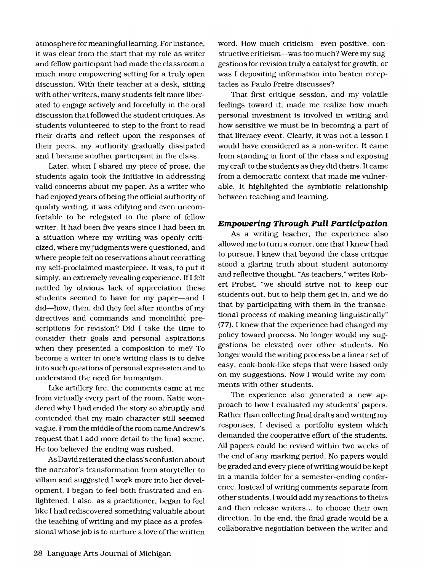a tmosphere for meaningful learning. Forinstance, it was clear from the start that my role as writer and fellow participant had made the classroom a much more empowering setting for a truly open discussion. With their teacher at a desk, sitting with other writers, many students felt more liberated to engage actively and forcefully in the oral discussion that followed the student critiques. As students volunteered to step to the front to read their drafts and reflect upon the responses of their peers, my authority gradually dissipated and I became another participant in the class.

Later, when I shared my piece of prose, the students again took the initiative in addressing valid concerns about my paper. As a writer who had enjoyed years of being the official authority of quality writing, it was edifying and even uncomfortable to be relegated to the place of fellow writer. It had been five years since I had been in a situation where my writing was openly criticized, where my judgmentswere questioned, and where people felt no reservations about recrafting my self-proclaimed masterpiece. It was, to put it simply, an extremely revealing experience. If I felt nettled by obvious lack of appreciation these students seemed to have for my paper-and I did-how, then, did they feel after months of my directives and commands and monolithic prescriptions for revision? Did I take the time to consider their goals and personal aspirations when they presented a composition to me? To become a writer in one's writing class is to delve into such questions of personal expression and to understand the need for humanism.

Like artillery fire, the comments came at me from Virtually every part of the room. Katie wondered why I had ended the story so abruptly and contended that my main character still seemed vague. Fromthe middle ofthe room cameAndrew's request that I add more detail to the final scene. He too believed the ending was rushed.

As David reiterated the class's confusion about the narrator's transformation from storyteller to villain and suggested I work more into her development, I began to feel both frustrated and enlightened. I also, as a practitioner, began to feel like I had rediscovered something valuable about the teaching ofwriting and my place as a professional whose job is to nurture a love of the written word. How much criticism--even positive, constructive criticism-was too much?Were my suggestions for revision truly a catalyst for growth, or was I depositing information into beaten receptacles as Paulo Freire discusses?

That first critique session, and my volatile feelings toward it, made me realize how much personal investment is involved in writing and how sensitive we must be in becoming a part of that literacy event. Clearly, it was not a lesson I would have considered as a non-writer. It came from standing in front of the class and exposing my craft to the students as they did theirs. It came from a democratic context that made me vulnerable. It highlighted the symbiotic relationship between teaching and learning.

#### **Empowering Through Full Participation**

As a writing teacher, the experience also allowed me to turn a corner, one that I knew I had to pursue. I knew that beyond the class critique stood a glaring truth about student autonomy and reflective thought. "As teachers," writes Robert Probst, "we should strive not to keep our students out. but to help them get in. and we do that by participating with them in the transactional process of making meaning linguistically" (77). I knew that the experience had changed my policy toward process. No longer would my suggestions be elevated over other students. No longer would the writing process be a linear set of easy, cook-book-like steps that were based only on my suggestions. Now I would write my comments with other students.

The experience also generated a new approach to how I evaluated my students' papers. Rather than collecting final drafts and writing my responses, I devised a portfolio system which demanded the cooperative effort of the students. All papers could be revised within two weeks of the end of any marking period. No papers would be graded and every piece ofwriting would be kept in a manila folder for a semester-ending conference. Instead ofwriting comments separate from other students, Iwould add my reactions to theirs and then release writers... to choose their own direction. In the end, the final grade would be a collaborative negotiation between the writer and